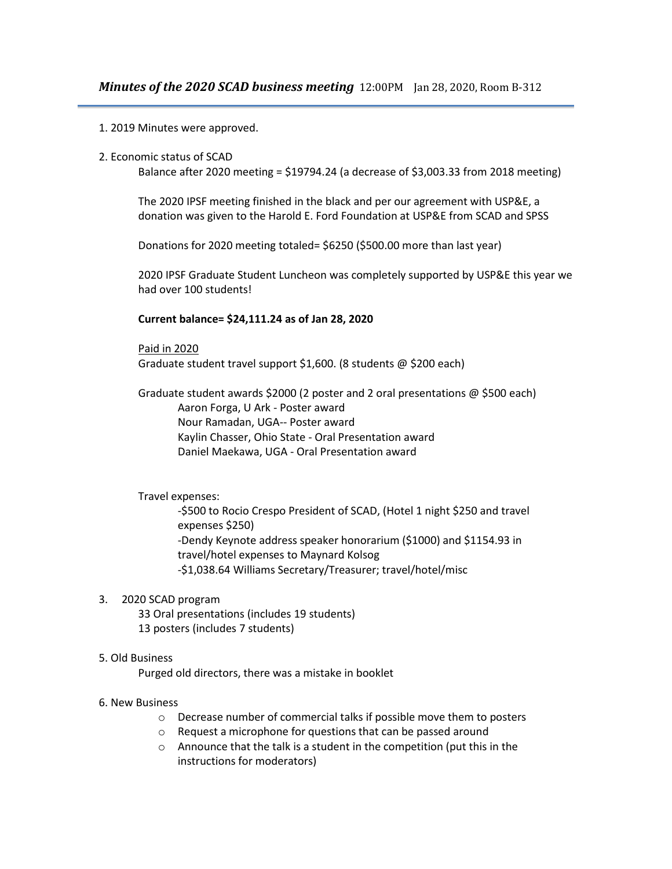- 1. 2019 Minutes were approved.
- 2. Economic status of SCAD

Balance after 2020 meeting = \$19794.24 (a decrease of \$3,003.33 from 2018 meeting)

The 2020 IPSF meeting finished in the black and per our agreement with USP&E, a donation was given to the Harold E. Ford Foundation at USP&E from SCAD and SPSS

Donations for 2020 meeting totaled= \$6250 (\$500.00 more than last year)

2020 IPSF Graduate Student Luncheon was completely supported by USP&E this year we had over 100 students!

# **Current balance= \$24,111.24 as of Jan 28, 2020**

Paid in 2020

Graduate student travel support \$1,600. (8 students @ \$200 each)

Graduate student awards \$2000 (2 poster and 2 oral presentations @ \$500 each) Aaron Forga, U Ark - Poster award Nour Ramadan, UGA-- Poster award Kaylin Chasser, Ohio State - Oral Presentation award Daniel Maekawa, UGA - Oral Presentation award

### Travel expenses:

-\$500 to Rocio Crespo President of SCAD, (Hotel 1 night \$250 and travel expenses \$250) -Dendy Keynote address speaker honorarium (\$1000) and \$1154.93 in travel/hotel expenses to Maynard Kolsog -\$1,038.64 Williams Secretary/Treasurer; travel/hotel/misc

# 3. 2020 SCAD program

33 Oral presentations (includes 19 students) 13 posters (includes 7 students)

### 5. Old Business

Purged old directors, there was a mistake in booklet

# 6. New Business

- o Decrease number of commercial talks if possible move them to posters
- o Request a microphone for questions that can be passed around
- $\circ$  Announce that the talk is a student in the competition (put this in the instructions for moderators)